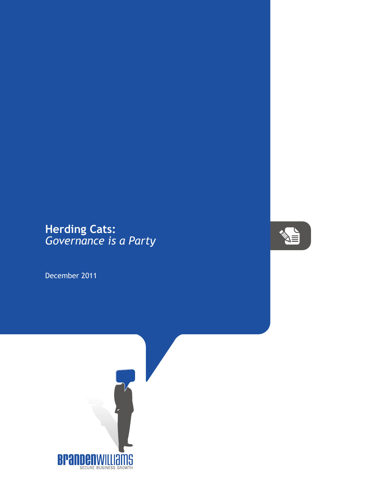## **Herding Cats:** *Governance is a Party*

December 2011



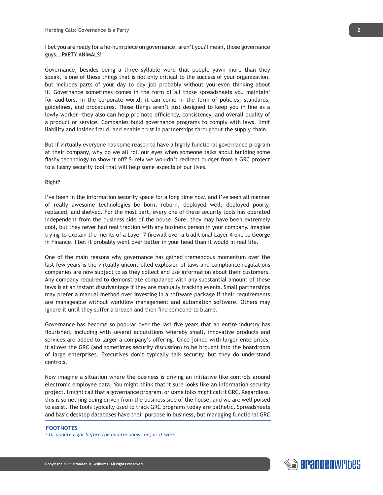I bet you are ready for a ho-hum piece on governance, aren't you? I mean, those governance guys… PARTY ANIMALS!

Governance, besides being a three syllable word that people yawn more than they speak, is one of those things that is not only critical to the success of your organization, but includes parts of your day to day job probably without you even thinking about it. Governance sometimes comes in the form of all those spreadsheets you maintain<sup>1</sup> for auditors. In the corporate world, it can come in the form of policies, standards, guidelines, and procedures. Those things aren't just designed to keep you in line as a lowly worker—they also can help promote efficiency, consistency, and overall quality of a product or service. Companies build governance programs to comply with laws, limit liability and insider fraud, and enable trust in partnerships throughout the supply chain.

But if virtually everyone has some reason to have a highly functional governance program at their company, why do we all roll our eyes when someone talks about building some flashy technology to show it off? Surely we wouldn't redirect budget from a GRC project to a flashy security tool that will help some aspects of our lives.

## Right?

I've been in the information security space for a long time now, and I've seen all manner of really awesome technologies be born, reborn, deployed well, deployed poorly, replaced, and shelved. For the most part, every one of these security tools has operated independent from the business side of the house. Sure, they may have been extremely cool, but they never had real traction with any business person in your company. Imagine trying to explain the merits of a Layer 7 firewall over a traditional Layer 4 one to George in Finance. I bet it probably went over better in your head than it would in real life.

One of the main reasons why governance has gained tremendous momentum over the last few years is the virtually uncontrolled explosion of laws and compliance regulations companies are now subject to as they collect and use information about their customers. Any company required to demonstrate compliance with any substantial amount of these laws is at an instant disadvantage if they are manually tracking events. Small partnerships may prefer a manual method over investing in a software package if their requirements are manageable without workflow management and automation software. Others may ignore it until they suffer a breach and then find someone to blame.

Governance has become so popular over the last five years that an entire industry has flourished, including with several acquisitions whereby small, innovative products and services are added to larger a company's offering. Once joined with larger enterprises, it allows the GRC (and sometimes security discussion) to be brought into the boardroom of large enterprises. Executives don't typically talk security, but they do understand controls.

Now imagine a situation where the business is driving an initiative like controls around electronic employee data. You might think that it sure looks like an information security project. I might call that a governance program, or some folks might call it GRC. Regardless, this is something being driven from the business side of the house, and we are well poised to assist. The tools typically used to track GRC programs today are pathetic. Spreadsheets and basic desktop databases have their purpose in business, but managing functional GRC

## **FOOTNOTES**

*1 Or update right before the auditor shows up, as it were.*



**2**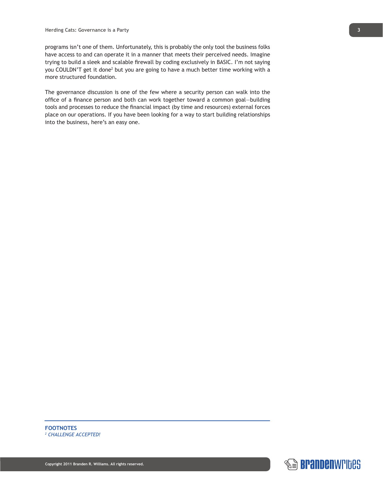programs isn't one of them. Unfortunately, this is probably the only tool the business folks have access to and can operate it in a manner that meets their perceived needs. Imagine trying to build a sleek and scalable firewall by coding exclusively in BASIC. I'm not saying you COULDN'T get it done<sup>2</sup> but you are going to have a much better time working with a more structured foundation.

The governance discussion is one of the few where a security person can walk into the office of a finance person and both can work together toward a common goal—building tools and processes to reduce the financial impact (by time and resources) external forces place on our operations. If you have been looking for a way to start building relationships into the business, here's an easy one.